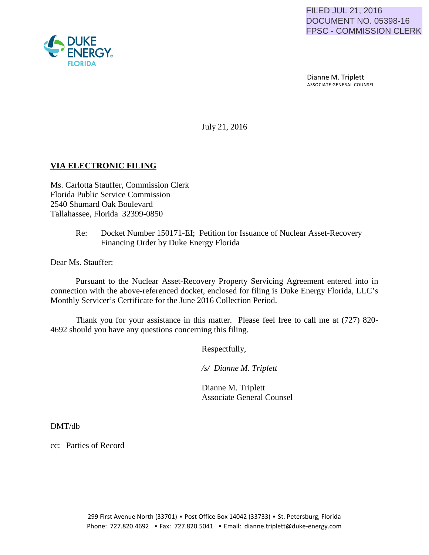Dianne M. Triplett ASSOCIATE GENERAL COUNSEL

July 21, 2016

## **VIA ELECTRONIC FILING**

Ms. Carlotta Stauffer, Commission Clerk Florida Public Service Commission 2540 Shumard Oak Boulevard Tallahassee, Florida 32399-0850

## Re: Docket Number 150171-EI; Petition for Issuance of Nuclear Asset-Recovery Financing Order by Duke Energy Florida

Dear Ms. Stauffer:

Pursuant to the Nuclear Asset-Recovery Property Servicing Agreement entered into in connection with the above-referenced docket, enclosed for filing is Duke Energy Florida, LLC's Monthly Servicer's Certificate for the June 2016 Collection Period.

Thank you for your assistance in this matter. Please feel free to call me at (727) 820- 4692 should you have any questions concerning this filing.

Respectfully,

 */s/ Dianne M. Triplett*

 Dianne M. Triplett Associate General Counsel

DMT/db

cc: Parties of Record